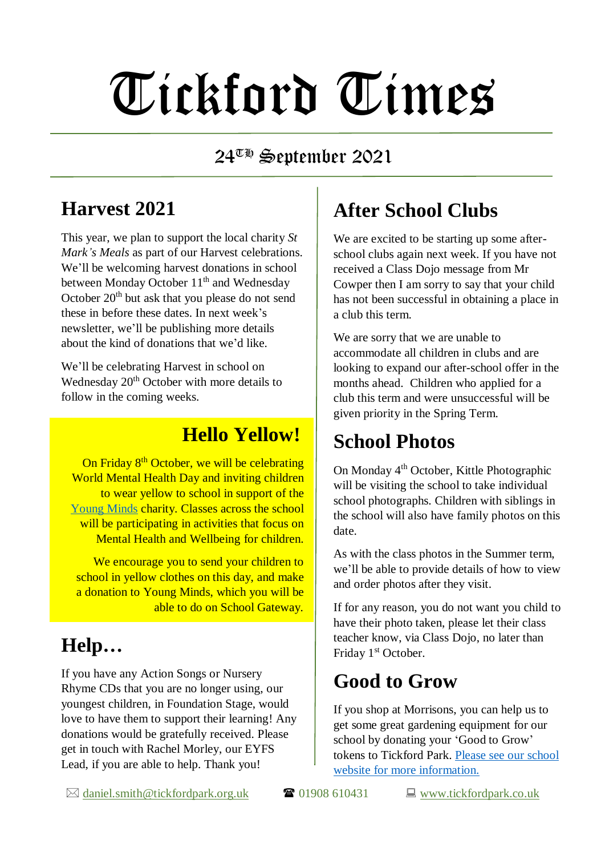# Tickford Times

#### $24^{\overline{w}_{\overline{w}}}$  September 2021

#### **Harvest 2021**

This year, we plan to support the local charity *St Mark's Meals* as part of our Harvest celebrations. We'll be welcoming harvest donations in school between Monday October  $11<sup>th</sup>$  and Wednesday October 20<sup>th</sup> but ask that you please do not send these in before these dates. In next week's newsletter, we'll be publishing more details about the kind of donations that we'd like.

We'll be celebrating Harvest in school on Wednesday  $20<sup>th</sup>$  October with more details to follow in the coming weeks.

#### **Hello Yellow!**

On Friday 8<sup>th</sup> October, we will be celebrating World Mental Health Day and inviting children to wear yellow to school in support of the [Young Minds](https://www.youngminds.org.uk/) charity. Classes across the school will be participating in activities that focus on Mental Health and Wellbeing for children.

We encourage you to send your children to school in yellow clothes on this day, and make a donation to Young Minds, which you will be able to do on School Gateway.

## **Help…**

If you have any Action Songs or Nursery Rhyme CDs that you are no longer using, our youngest children, in Foundation Stage, would love to have them to support their learning! Any donations would be gratefully received. Please get in touch with Rachel Morley, our EYFS Lead, if you are able to help. Thank you!

## **After School Clubs**

We are excited to be starting up some afterschool clubs again next week. If you have not received a Class Dojo message from Mr Cowper then I am sorry to say that your child has not been successful in obtaining a place in a club this term.

We are sorry that we are unable to accommodate all children in clubs and are looking to expand our after-school offer in the months ahead. Children who applied for a club this term and were unsuccessful will be given priority in the Spring Term.

#### **School Photos**

On Monday 4th October, Kittle Photographic will be visiting the school to take individual school photographs. Children with siblings in the school will also have family photos on this date.

As with the class photos in the Summer term, we'll be able to provide details of how to view and order photos after they visit.

If for any reason, you do not want you child to have their photo taken, please let their class teacher know, via Class Dojo, no later than Friday 1<sup>st</sup> October.

#### **Good to Grow**

If you shop at Morrisons, you can help us to get some great gardening equipment for our school by donating your 'Good to Grow' tokens to Tickford Park. [Please see our school](https://www.tickfordpark.co.uk/morrisons-points.html) [website for more information.](https://www.tickfordpark.co.uk/morrisons-points.html)

 $\boxtimes$  [daniel.smith@tickfordpark.org.uk](mailto:daniel.smith@tickfordpark.org.uk)  $\blacksquare$  01908 610431  $\blacksquare$  [www.tickfordpark.co.uk](http://www.tickfordpark.co.uk/)